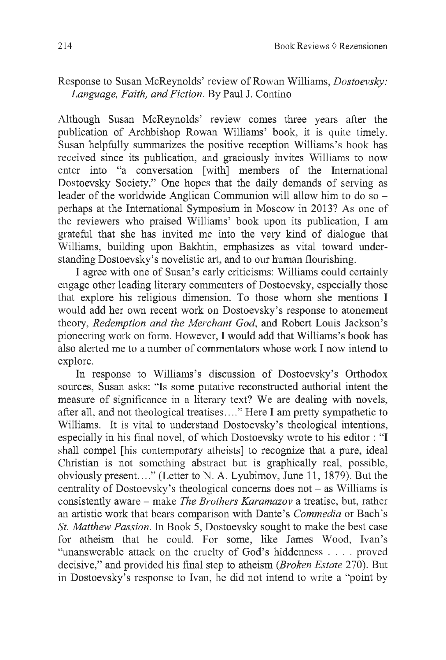## Response to Susan McReynolds' review of Rowan Williams, *Dostoevsky: Language, Faith, and Fiction,* By Paul J. Contino

Although Susan McReynolds' review comes three years after the publication of Archbishop Rowan Williams' book, it is quite timely. Susan helpfully summarizes the positive reception Williams's book has received since its publication, and graciously invites Williams to now enter into "a conversation [with] members of the International Dostoevsky Society." One hopes that the daily demands of serving as leader of the worldwide Anglican Communion will allow him to do so perhaps at the International Symposium in Moscow in 2013? As one of the reviewers who praised Williams' book upon its publication, I am grateful that she has invited me into the very kind of dialogue that Williams, building upon Bakhtin, emphasizes as vital toward understanding Dostoevsky's novelistic art, and to our human flourishing.

I agree with one of Susan's early criticisms: Williams could certainly engage other leading literary commenters of Dostoevsky, especially those that explore his religious dimension. To those whom she mentions I would add her own recent work on Dostoevsky's response to atonement theory, *Redemption and the Merchant God,* and Robert Louis Jackson's pioneering work on form. However, I would add that Williams's book has also alerted me to a number of commentators whose work I now intend to explore.

In response to Williams's discussion of Dostoevsky's Orthodox sources, Susan asks: "Is some putative reconstructed authorial intent the measure of significance in a literary text? We are dealing with novels, after all, and not theological treatises...." Here I am pretty sympathetic to Williams. It is vital to understand Dostoevsky's theological intentions, especially in his final novel, of which Dostoevsky wrote to his editor : "I shall compel [his contemporary atheists] to recognize that a pure, ideal Christian is not something abstract but is graphically real, possible, obviously present...." (Letter to N. A. Lyubimov, June 11, 1879). But the centrality of Dostoevsky's theological concerns does not - as Williams is consistently aware - make *The Brothers Karamazov* a treatise, but, rather an artistic work that bears comparison with Dante's *Commedia* or Bach's *St. Matthew Passion,* In Book 5, Dostoevsky sought to make the best case for atheism that he could. For some, like James Wood, Ivan's "unanswerable attack on the cruelty of God's hiddenness .... proved decisive," and provided his final step to atheism (*Broken Estate* 270). But in Dostoevsky's response to Ivan, he did not intend to write a "point by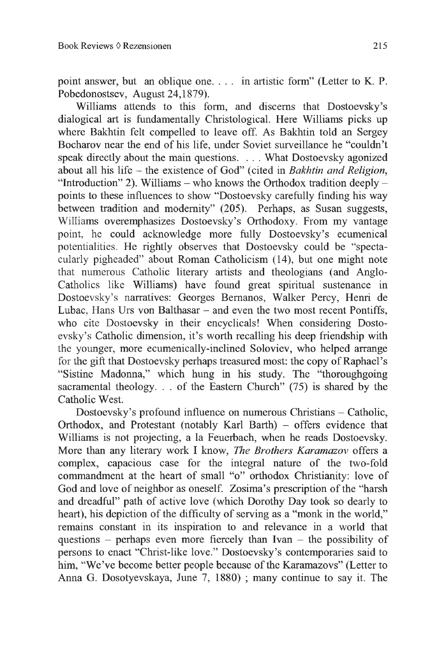point answer, but an oblique one. . . . in artistic form" (Letter to K. P. Pobedonostsev, August 24,1879).

Williams attends to this form, and discerns that Dostoevsky's dialogical art is fundamentally Christological. Here Williams picks up where Bakhtin felt compelled to leave off. As Bakhtin told an Sergey Bocharov near the end of his life, under Soviet surveillance he "couldn't speak directly about the main questions. . . . What Dostoevsky agonized about all his life - the existence of God" (cited in *Bakhtin and Religion,* "Introduction" 2). Williams – who knows the Orthodox tradition deeply – points to these influences to show "Dostoevsky carefully finding his way between tradition and modernity" (205). Perhaps, as Susan suggests, Williams overemphasizes Dostoevsky's Orthodoxy. From my vantage point, he could acknowledge more fully Dostoevsky's ecumenical potentialities. He rightly observes that Dostoevsky could be "spectacularly pigheaded" about Roman Catholicism (14), but one might note that numerous Catholic literary artists and theologians (and Anglo-Catholics like Williams) have found great spiritual sustenance in Dostoevsky's narratives: Georges Bernanos, Walker Percy, Henri de Lubac, Hans Urs von Balthasar - and even the two most recent Pontiffs, who cite Dostoevsky in their encyclicals! When considering Dostoevsky's Catholic dimension, it's worth recalling his deep friendship with the younger, more ecumenically-inclined Soloviev, who helped arrange for the gift that Dostoevsky perhaps treasured most: the copy of Raphael's "Sistine Madonna," which hung in his study. The "thoroughgoing sacramental theology. . . of the Eastern Church" (75) is shared by the Catholic West.

Dostoevsky's profound influence on numerous Christians - Catholic, Orthodox, and Protestant (notably Karl Barth) – offers evidence that Williams is not projecting, a la Feuerbach, when he reads Dostoevsky. More than any literary work I know. *The Brothers Karamazov* offers a complex, capacious case for the integral nature of the two-fold commandment at the heart of small "o" orthodox Christianity: love of God and love of neighbor as oneself. Zosima's prescription of the "harsh and dreadful" path of active love (which Dorothy Day took so dearly to heart), his depiction of the difficulty of serving as a "monk in the world," remains constant in its inspiration to and relevance in a world that questions – perhaps even more fiercely than Ivan – the possibility of persons to enact "Christ-like love." Dostoevsky's contemporaries said to him, "We've become better people because of the Karamazovs" (Letter to Anna G. Dosotyevskaya, June 7, 1880) ; many continue to say it. The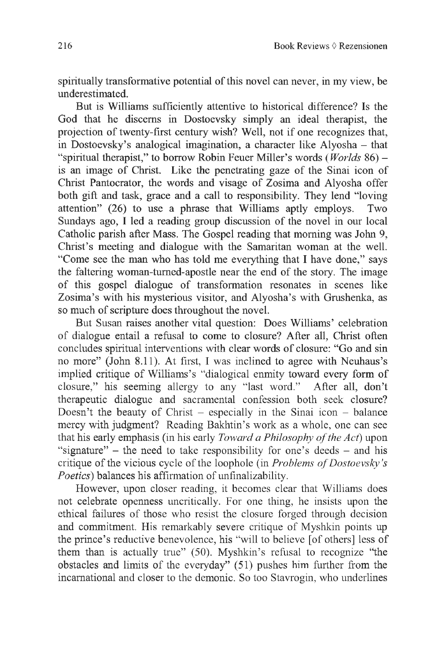spiritually transformative potential of this novel can never, in my view, be underestimated.

But is Williams sufficiently attentive to historical difference? Is the God that he discerns in Dostoevsky simply an ideal therapist, the projection of twenty-first century wish? Well, not if one recognizes that, in Dostoevsky's analogical imagination, a character like Alyosha - that "spiritual therapist," to borrow Robin Feuer Miller's words ( *Worlds* 86) is an image of Christ. Like the penetrating gaze of the Sinai icon of Christ Pantocrator, the words and visage of Zosima and Alyosha offer both gift and task, grace and a call to responsibility. They lend "loving attention" (26) to use a phrase that Williams aptly employs. Two Sundays ago, I led a reading group discussion of the novel in our local Catholic parish after Mass. The Gospel reading that morning was John 9, Christ's meeting and dialogue with the Samaritan woman at the well. "Come see the man who has told me everything that I have done," says the faltering woman-tumed-apostle near the end of the story. The image of this gospel dialogue of transformation resonates in scenes like Zosima's with his mysterious visitor, and Alyosha's with Grushenka, as so much of scripture does throughout the novel.

But Susan raises another vital question: Does Williams' celebration of dialogue entail a refusal to come to closure? After all, Christ often concludes spiritual interventions with clear words of closure: "Go and sin no more" (John 8.11). At first, I was inclined to agree with Neuhaus's implied critique of Williams's "dialogical enmity toward every form of closure," his seeming allergy to any "last word." After all, don't therapeutic dialogue and sacramental confession both seek closure? Doesn't the beauty of Christ  $-$  especially in the Sinai icon  $-$  balance mercy with judgment? Reading Bakhtin's work as a whole, one can see that his early emphasis (in his early *Toward a Philosophy of the Act*) upon "signature" – the need to take responsibility for one's deeds – and his critique of the vicious cycle of the loophole (in *Problems of Dostoevsky's Poetics*) balances his affirmation of unfinalizability.

However, upon closer reading, it becomes clear that Williams does not celebrate openness uncritically. For one thing, he insists upon the ethical failures of those who resist the closure forged through decision and commitment. His remarkably severe critique of Myshkin points up the prince's reductive benevolence, his "will to believe [of others] less of them than is actually true" (50). Myshkin's refusal to recognize "the obstacles and limits of the everyday" (51) pushes him further from the incamational and closer to the demonic. So too Stavrogin, who underlines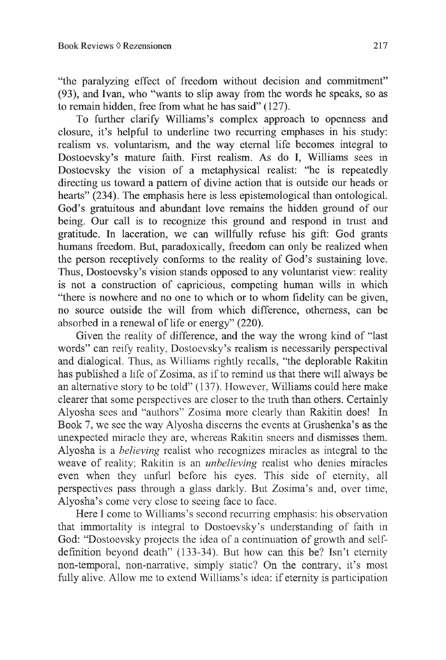"the paralyzing effect of freedom without decision and commitment" (93), and Ivan, who "wants to slip away from the words he speaks, so as to remain hidden, free from what he has said" (127).

To further clarify Williams's complex approach to openness and closure, it's helpful to underline two recurring emphases in his study: realism vs. voluntarism, and the way eternal life becomes integral to Dostoevsky's mature faith. First realism. As do I, Williams sees in Dostoevsky the vision of a metaphysical realist: "he is repeatedly directing us toward a pattern of divine action that is outside our heads or hearts" (234). The emphasis here is less epistemological than ontological. God's gratuitous and abundant love remains the hidden ground of our being. Our call is to recognize this ground and respond in trust and gratitude. In laceration, we can willfully refuse his gift: God grants humans freedom. But, paradoxically, freedom can only be realized when the person receptively conforms to the reality of God's sustaining love. Thus, Dostoevsky's vision stands opposed to any voluntarist view: reality is not a construction of capricious, competing human wills in which "there is nowhere and no one to which or to whom fidelity can be given, no source outside the will from which difference, otherness, can be absorbed in a renewal of life or energy" (220).

Given the reality of difference, and the way the wrong kind of "last words" can reify reality, Dostoevsky's realism is necessarily perspectival and dialogical. Thus, as Williams rightly recalls, "the deplorable Rakitin has published a life of Zosima, as if to remind us that there will always be an alternative story to be told" (137). However, Williams could here make clearer that some perspectives are closer to the truth than others. Certainly Alyosha sees and "authors" Zosima more clearly than Rakitin does! In Book 7, we see the way Alyosha discerns the events at Grushenka's as the unexpected miracle they are, whereas Rakitin sneers and dismisses them. Alyosha is a *believing* realist who recognizes miracles as integral to the weave of reality; Rakitin is an *unbelieving* realist who denies miracles even when they unfurl before his eyes. This side of eternity, all perspectives pass through a glass darkly. But Zosima's and, over time, Alyosha's come very close to seeing face to face.

Here I come to Williams's second recurring emphasis: his observation that immortality is integral to Dostoevsky's understanding of faith in God: "Dostoevsky projects the idea of a continuation of growth and selfdefinition beyond death" (133-34). But how can this be? Isn't eternity non-temporal, non-narrative, simply static? On the contrary, it's most fully alive. Allow me to extend Williams's idea: if eternity is participation